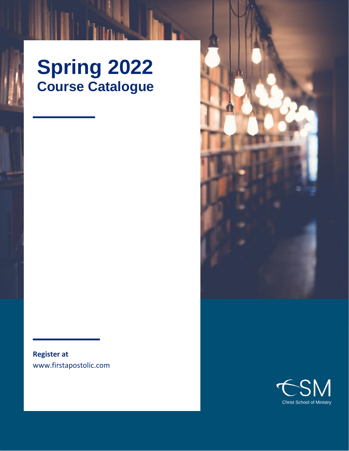# **Spring 2022 Course Catalogue**

**Register at** www.firstapostolic.com

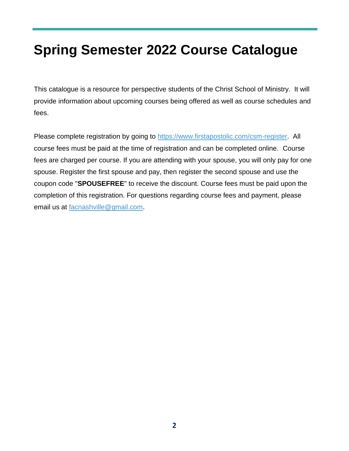# **Spring Semester 2022 Course Catalogue**

This catalogue is a resource for perspective students of the Christ School of Ministry. It will provide information about upcoming courses being offered as well as course schedules and fees.

Please complete registration by going to [https://www.firstapostolic.com/csm-register.](https://www.firstapostolic.com/csm-register) All course fees must be paid at the time of registration and can be completed online. Course fees are charged per course. If you are attending with your spouse, you will only pay for one spouse. Register the first spouse and pay, then register the second spouse and use the coupon code "**SPOUSEFREE**" to receive the discount. Course fees must be paid upon the completion of this registration. For questions regarding course fees and payment, please email us at [facnashville@gmail.com.](mailto:facnashville@gmail.com)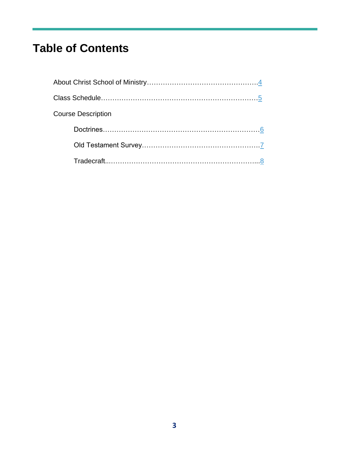# **Table of Contents**

| <b>Course Description</b> |  |
|---------------------------|--|
|                           |  |
|                           |  |
|                           |  |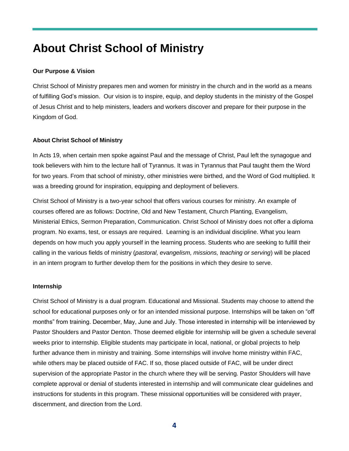## <span id="page-3-0"></span>**About Christ School of Ministry**

#### **Our Purpose & Vision**

Christ School of Ministry prepares men and women for ministry in the church and in the world as a means of fulfilling God's mission. Our vision is to inspire, equip, and deploy students in the ministry of the Gospel of Jesus Christ and to help ministers, leaders and workers discover and prepare for their purpose in the Kingdom of God.

#### **About Christ School of Ministry**

In Acts 19, when certain men spoke against Paul and the message of Christ, Paul left the synagogue and took believers with him to the lecture hall of Tyrannus. It was in Tyrannus that Paul taught them the Word for two years. From that school of ministry, other ministries were birthed, and the Word of God multiplied. It was a breeding ground for inspiration, equipping and deployment of believers.

Christ School of Ministry is a two-year school that offers various courses for ministry. An example of courses offered are as follows: Doctrine, Old and New Testament, Church Planting, Evangelism, Ministerial Ethics, Sermon Preparation, Communication. Christ School of Ministry does not offer a diploma program. No exams, test, or essays are required. Learning is an individual discipline. What you learn depends on how much you apply yourself in the learning process. Students who are seeking to fulfill their calling in the various fields of ministry (*pastoral, evangelism, missions, teaching or serving*) will be placed in an intern program to further develop them for the positions in which they desire to serve.

#### **Internship**

Christ School of Ministry is a dual program. Educational and Missional. Students may choose to attend the school for educational purposes only or for an intended missional purpose. Internships will be taken on "off months" from training. December, May, June and July. Those interested in internship will be interviewed by Pastor Shoulders and Pastor Denton. Those deemed eligible for internship will be given a schedule several weeks prior to internship. Eligible students may participate in local, national, or global projects to help further advance them in ministry and training. Some internships will involve home ministry within FAC, while others may be placed outside of FAC. If so, those placed outside of FAC, will be under direct supervision of the appropriate Pastor in the church where they will be serving. Pastor Shoulders will have complete approval or denial of students interested in internship and will communicate clear guidelines and instructions for students in this program. These missional opportunities will be considered with prayer, discernment, and direction from the Lord.

**4**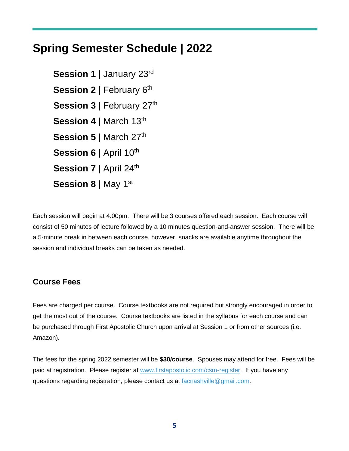## <span id="page-4-0"></span>**Spring Semester Schedule | 2022**

**Session 1** | January 23rd **Session 2** | February 6<sup>th</sup> Session 3 | February 27<sup>th</sup> **Session 4** | March 13<sup>th</sup> **Session 5** | March 27<sup>th</sup> **Session 6** | April 10<sup>th</sup> **Session 7** | April 24<sup>th</sup> **Session 8** | May 1st

Each session will begin at 4:00pm. There will be 3 courses offered each session. Each course will consist of 50 minutes of lecture followed by a 10 minutes question-and-answer session. There will be a 5-minute break in between each course, however, snacks are available anytime throughout the session and individual breaks can be taken as needed.

## **Course Fees**

Fees are charged per course. Course textbooks are not required but strongly encouraged in order to get the most out of the course. Course textbooks are listed in the syllabus for each course and can be purchased through First Apostolic Church upon arrival at Session 1 or from other sources (i.e. Amazon).

The fees for the spring 2022 semester will be **\$30/course**. Spouses may attend for free. Fees will be paid at registration. Please register at [www.firstapostolic.com/csm-register.](http://www.firstapostolic.com/csm-register) If you have any questions regarding registration, please contact us at **facnashville@gmail.com**.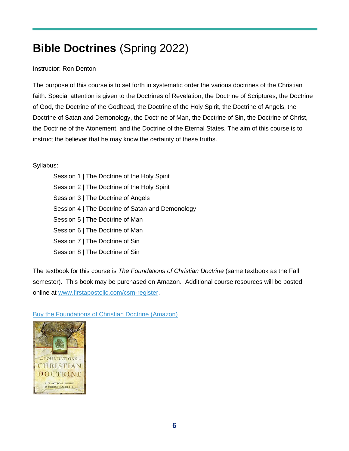# <span id="page-5-0"></span>**Bible Doctrines** (Spring 2022)

#### Instructor: Ron Denton

The purpose of this course is to set forth in systematic order the various doctrines of the Christian faith. Special attention is given to the Doctrines of Revelation, the Doctrine of Scriptures, the Doctrine of God, the Doctrine of the Godhead, the Doctrine of the Holy Spirit, the Doctrine of Angels, the Doctrine of Satan and Demonology, the Doctrine of Man, the Doctrine of Sin, the Doctrine of Christ, the Doctrine of the Atonement, and the Doctrine of the Eternal States. The aim of this course is to instruct the believer that he may know the certainty of these truths.

#### Syllabus:

Session 1 | The Doctrine of the Holy Spirit Session 2 | The Doctrine of the Holy Spirit Session 3 | The Doctrine of Angels Session 4 | The Doctrine of Satan and Demonology Session 5 | The Doctrine of Man Session 6 | The Doctrine of Man Session 7 | The Doctrine of Sin Session 8 | The Doctrine of Sin

The textbook for this course is *The Foundations of Christian Doctrine* (same textbook as the Fall semester). This book may be purchased on Amazon. Additional course resources will be posted online at [www.firstapostolic.com/csm-register.](https://www.firstapostolic.com/csm-register)

[Buy the Foundations of Christian Doctrine \(Amazon\)](https://www.amazon.com/Foundations-Christian-Doctrine-Kevin-Conner/dp/0914936387/ref=sr_1_3?crid=1ADC5G9TV9B7F&keywords=the+foundation+of+christian+doctrine&qid=1640876338&sprefix=the+foundation+of+christian+doctrine%2Caps%2C107&sr=8-3)

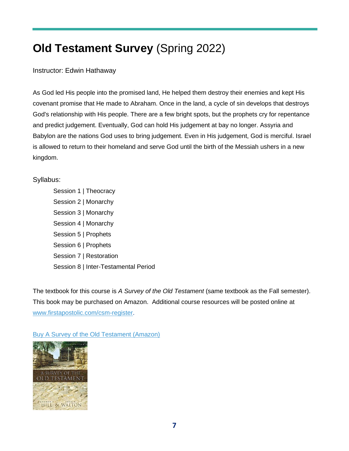# <span id="page-6-0"></span>**Old Testament Survey** (Spring 2022)

Instructor: Edwin Hathaway

As God led His people into the promised land, He helped them destroy their enemies and kept His covenant promise that He made to Abraham. Once in the land, a cycle of sin develops that destroys God's relationship with His people. There are a few bright spots, but the prophets cry for repentance and predict judgement. Eventually, God can hold His judgement at bay no longer. Assyria and Babylon are the nations God uses to bring judgement. Even in His judgement, God is merciful. Israel is allowed to return to their homeland and serve God until the birth of the Messiah ushers in a new kingdom.

### Syllabus:

Session 1 | Theocracy Session 2 | Monarchy Session 3 | Monarchy Session 4 | Monarchy Session 5 | Prophets Session 6 | Prophets Session 7 | Restoration Session 8 | Inter-Testamental Period

The textbook for this course is *A Survey of the Old Testament* (same textbook as the Fall semester). This book may be purchased on Amazon. Additional course resources will be posted online at [www.firstapostolic.com/csm-register.](https://www.firstapostolic.com/csm-register)

[Buy A Survey of the Old Testament \(Amazon\)](https://www.amazon.com/Survey-Old-Testament-Andrew-Hill/dp/0310280958/ref=sr_1_1?crid=2AOKTICGPEJK9&keywords=a+survey+of+the+old+testament&qid=1640876105&sprefix=a+survey+of+the+old+testament%2Caps%2C218&sr=8-1)